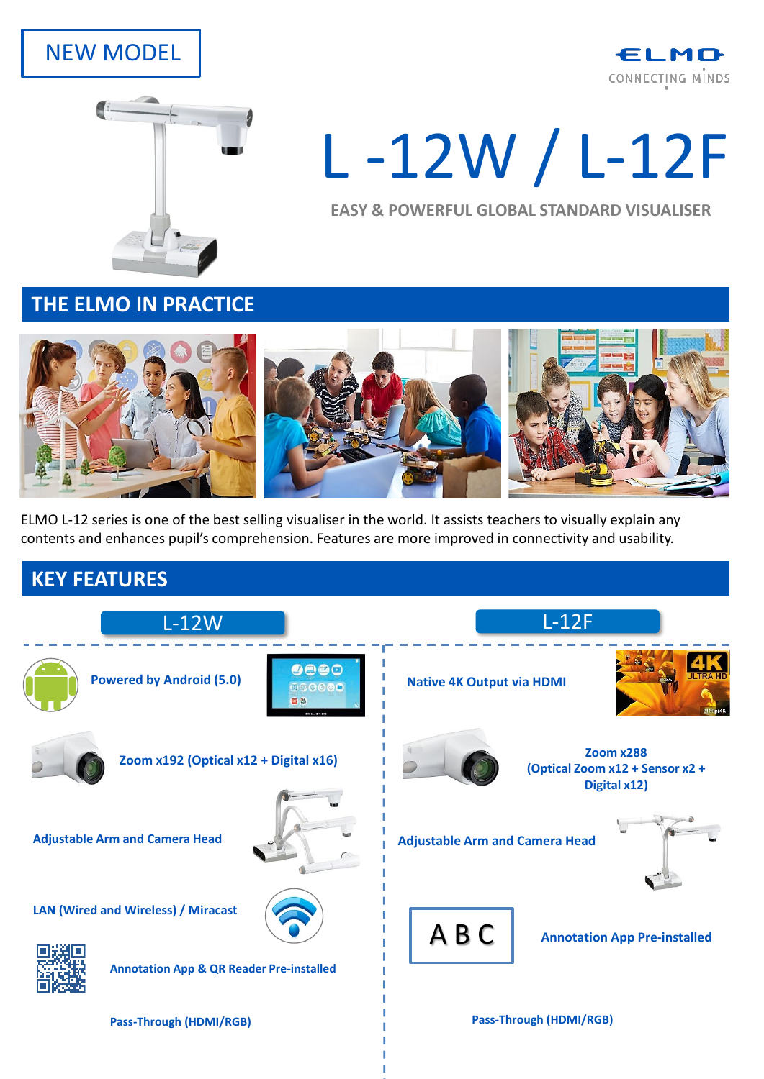## NEW MODEL





# L -12W / L-12F

**EASY & POWERFUL GLOBAL STANDARD VISUALISER**

**THE ELMO IN PRACTICE** 



ELMO L-12 series is one of the best selling visualiser in the world. It assists teachers to visually explain any contents and enhances pupil's comprehension. Features are more improved in connectivity and usability.

### **KEY FEATURES**

| $L-12W$                                                                                           | $L-12F$                                                             |
|---------------------------------------------------------------------------------------------------|---------------------------------------------------------------------|
| 0000<br><b>Powered by Android (5.0)</b><br>990000<br>回参<br>ELMO                                   | <b>Native 4K Output via HDMI</b>                                    |
| Zoom x192 (Optical x12 + Digital x16)                                                             | <b>Zoom x288</b><br>(Optical Zoom x12 + Sensor x2 +<br>Digital x12) |
| <b>Adjustable Arm and Camera Head</b>                                                             | <b>Adjustable Arm and Camera Head</b>                               |
| <b>LAN (Wired and Wireless) / Miracast</b><br><b>Annotation App &amp; QR Reader Pre-installed</b> | ABC<br><b>Annotation App Pre-installed</b>                          |
|                                                                                                   |                                                                     |

**Pass-Through (HDMI/RGB) Pass-Through (HDMI/RGB)**